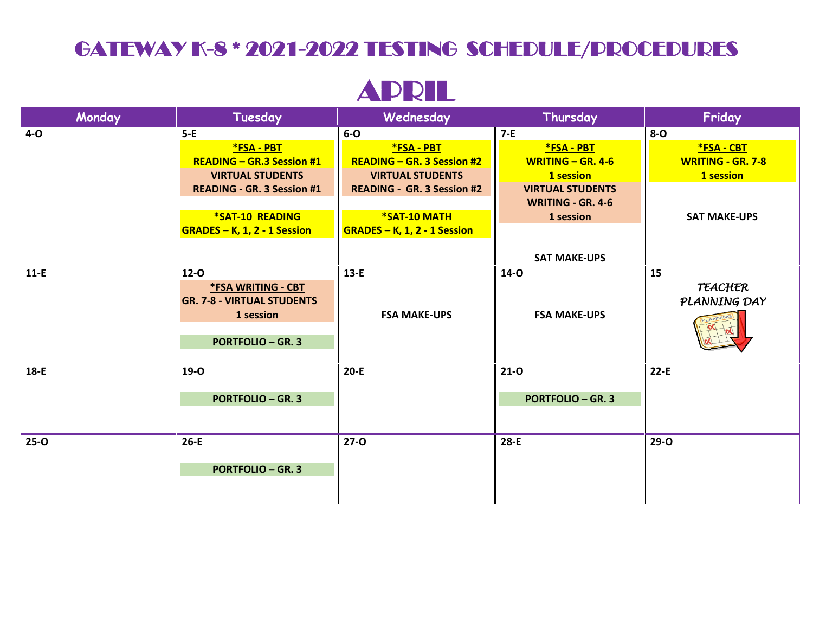## GATEWAY K-8 \* 2021-2022 TESTING SCHEDULE/PROCEDURES

## APRIL

| Monday   | Tuesday                           | Wednesday                         | Thursday                 | Friday                   |
|----------|-----------------------------------|-----------------------------------|--------------------------|--------------------------|
| $4-0$    | $5-E$                             | $6-0$                             | $7-E$                    | $8 - 0$                  |
|          | *FSA - PBT                        | *FSA - PBT                        | <b>*FSA - PBT</b>        | *FSA - CBT               |
|          | <b>READING - GR.3 Session #1</b>  | <b>READING - GR. 3 Session #2</b> | WRITING $-$ GR. 4-6      | <b>WRITING - GR. 7-8</b> |
|          | <b>VIRTUAL STUDENTS</b>           | <b>VIRTUAL STUDENTS</b>           | 1 session                | 1 session                |
|          | <b>READING - GR. 3 Session #1</b> | <b>READING - GR. 3 Session #2</b> | <b>VIRTUAL STUDENTS</b>  |                          |
|          |                                   |                                   | <b>WRITING - GR. 4-6</b> |                          |
|          | <b>*SAT-10 READING</b>            | *SAT-10 MATH                      | 1 session                | <b>SAT MAKE-UPS</b>      |
|          | GRADES - K, 1, 2 - 1 Session      | GRADES - K, 1, 2 - 1 Session      |                          |                          |
|          |                                   |                                   | <b>SAT MAKE-UPS</b>      |                          |
| $11-E$   | $12-0$                            | $13-E$                            | $14-0$                   | 15                       |
|          | *FSA WRITING - CBT                |                                   |                          | TEACHER                  |
|          | <b>GR. 7-8 - VIRTUAL STUDENTS</b> |                                   |                          | PLANNING DAY             |
|          | 1 session                         | <b>FSA MAKE-UPS</b>               | <b>FSA MAKE-UPS</b>      |                          |
|          | <b>PORTFOLIO - GR. 3</b>          |                                   |                          |                          |
|          | <b>19-0</b>                       | $20-E$                            | $21 - 0$                 | $22-E$                   |
| $18-E$   |                                   |                                   |                          |                          |
|          | <b>PORTFOLIO - GR. 3</b>          |                                   | <b>PORTFOLIO - GR. 3</b> |                          |
|          |                                   |                                   |                          |                          |
| $25 - 0$ | $26-E$                            | $27 - 0$                          | 28-E                     | $29-0$                   |
|          | <b>PORTFOLIO - GR. 3</b>          |                                   |                          |                          |
|          |                                   |                                   |                          |                          |